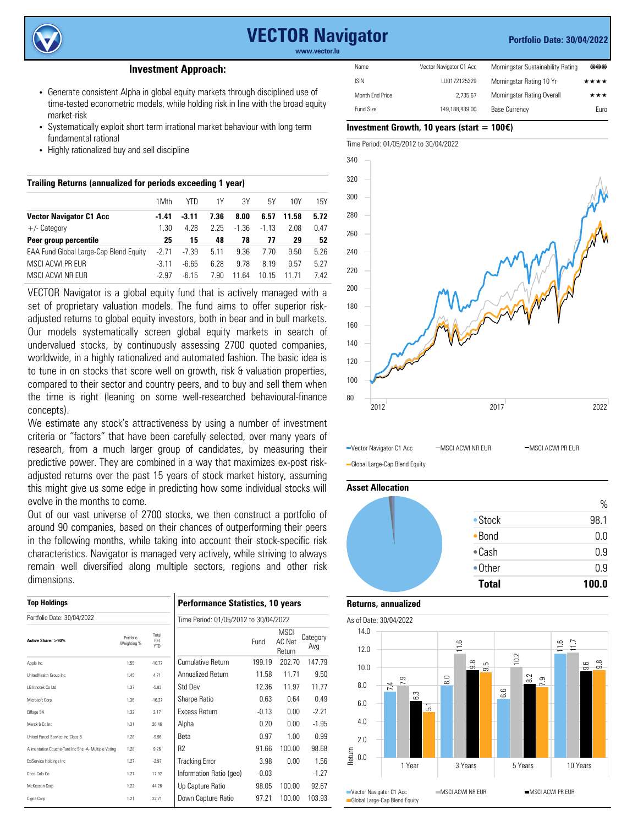

# **VECTOR Navigator**

#### **Portfolio Date: 30/04/2022**

**www.vector.lu**

## **Investment Approach:**

- Generate consistent Alpha in global equity markets through disciplined use of time-tested econometric models, while holding risk in line with the broad equity market-risk
- Systematically exploit short term irrational market behaviour with long term fundamental rational
- Highly rationalized buy and sell discipline

| Trailing Returns (annualized for periods exceeding 1 year) |         |         |      |         |         |       |      |
|------------------------------------------------------------|---------|---------|------|---------|---------|-------|------|
|                                                            | 1Mth    | YTD     | 1Y   | .3Y     | 5Υ      | 10Y   | 15Y  |
| <b>Vector Navigator C1 Acc</b>                             | $-1.41$ | $-3.11$ | 7.36 | 8.00    | 6.57    | 11.58 | 5.72 |
| $+/-$ Category                                             | 1.30    | 4.28    | 2.25 | $-1.36$ | $-1.13$ | 2.08  | 0.47 |
| Peer group percentile                                      | 25      | 15      | 48   | 78      | 77      | 29    | 52   |
| EAA Fund Global Large-Cap Blend Equity                     | $-2.71$ | $-7.39$ | 5.11 | 9.36    | 7 70    | 9.50  | 5.26 |
| MSCI ACWI PR FUR                                           | $-3.11$ | -6.65   | 6.28 | 9.78    | 8.19    | 9.57  | 5.27 |
| MSCI ACWI NR FUR                                           | $-2.97$ | $-615$  | 7.90 | 11.64   | 10.15   | 11 71 | 7.42 |

VECTOR Navigator is a global equity fund that is actively managed with a set of proprietary valuation models. The fund aims to offer superior riskadjusted returns to global equity investors, both in bear and in bull markets. Our models systematically screen global equity markets in search of undervalued stocks, by continuously assessing 2700 quoted companies, worldwide, in a highly rationalized and automated fashion. The basic idea is to tune in on stocks that score well on growth, risk & valuation properties, compared to their sector and country peers, and to buy and sell them when the time is right (leaning on some well-researched behavioural-finance concepts).

We estimate any stock's attractiveness by using a number of investment criteria or "factors" that have been carefully selected, over many years of research, from a much larger group of candidates, by measuring their predictive power. They are combined in a way that maximizes ex-post riskadjusted returns over the past 15 years of stock market history, assuming this might give us some edge in predicting how some individual stocks will evolve in the months to come.

Out of our vast universe of 2700 stocks, we then construct a portfolio of around 90 companies, based on their chances of outperforming their peers in the following months, while taking into account their stock-specific risk characteristics. Navigator is managed very actively, while striving to always remain well diversified along multiple sectors, regions and other risk dimensions.

| <b>Top Holdings</b><br>Portfolio Date: 30/04/2022    |      |          | <b>Performance Statistics, 10 years</b><br>Time Period: 01/05/2012 to 30/04/2022 |         |        |         |  |
|------------------------------------------------------|------|----------|----------------------------------------------------------------------------------|---------|--------|---------|--|
|                                                      |      |          |                                                                                  |         |        |         |  |
| Apple Inc                                            | 1.55 | $-10.77$ | Cumulative Return                                                                | 199.19  | 202.70 | 147.79  |  |
| UnitedHealth Group Inc.                              | 1.45 | 4.71     | Annualized Return                                                                | 11.58   | 11.71  | 9.50    |  |
| I G Innotek Co I td                                  | 1.37 | $-5.83$  | Std Dev                                                                          | 12.36   | 11.97  | 11.77   |  |
| Microsoft Corp                                       | 1.36 | $-16.27$ | Sharpe Ratio                                                                     | 0.63    | 0.64   | 0.49    |  |
| Eiffage SA                                           | 1.32 | 2.17     | <b>Excess Return</b>                                                             | $-0.13$ | 0.00   | $-2.21$ |  |
| Merck & Co Inc                                       | 1.31 | 26.46    | Alpha                                                                            | 0.20    | 0.00   | $-1.95$ |  |
| United Parcel Service Inc Class B                    | 1.28 | $-9.96$  | Beta                                                                             | 0.97    | 1.00   | 0.99    |  |
| Alimentation Couche-Tard Inc Shs -A- Multiple Voting | 1.28 | 9.26     | R <sub>2</sub>                                                                   | 91.66   | 100.00 | 98.68   |  |
| ExIService Holdings Inc.                             | 1.27 | $-2.97$  | <b>Tracking Error</b>                                                            | 3.98    | 0.00   | 1.56    |  |
| Coca-Cola Co                                         | 1.27 | 17.92    | Information Ratio (geo)                                                          | $-0.03$ |        | $-1.27$ |  |
| McKesson Corp                                        | 1.22 | 44.26    | Up Capture Ratio                                                                 | 98.05   | 100.00 | 92.67   |  |
| Cigna Corp                                           | 1.21 | 22.71    | Down Capture Ratio                                                               | 97.21   | 100.00 | 103.93  |  |

| Name            | Vector Navigator C1 Acc | Morningstar Sustainability Rating | oplus |
|-----------------|-------------------------|-----------------------------------|-------|
| <b>ISIN</b>     | LU0172125329            | Morningstar Rating 10 Yr          | ****  |
| Month End Price | 2.735.67                | Morningstar Rating Overall        | ★★★   |
| Fund Size       | 149.188.439.00          | <b>Base Currency</b>              | Euro  |

#### **Investment Growth, 10 years (start = 100**€**)**



-Vector Navigator C1 Acc - MSCI ACWI NR EUR - MSCI ACWI PR EUR

Global Large-Cap Blend Equity